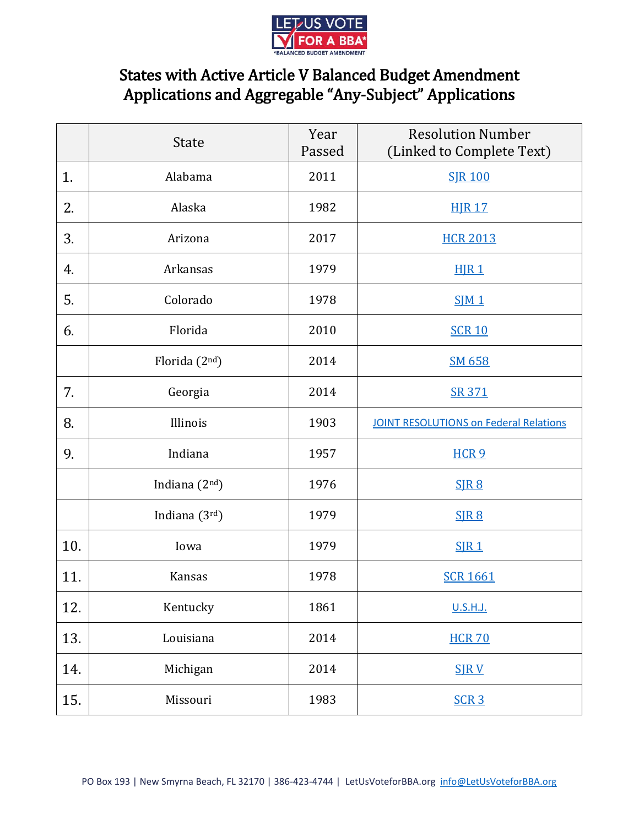

## States with Active Article V Balanced Budget Amendment Applications and Aggregable "Any-Subject" Applications

|     | <b>State</b>    | Year<br>Passed | <b>Resolution Number</b><br>(Linked to Complete Text) |
|-----|-----------------|----------------|-------------------------------------------------------|
| 1.  | Alabama         | 2011           | <b>SJR 100</b>                                        |
| 2.  | Alaska          | 1982           | <b>HJR 17</b>                                         |
| 3.  | Arizona         | 2017           | <b>HCR 2013</b>                                       |
| 4.  | Arkansas        | 1979           | HJR <sub>1</sub>                                      |
| 5.  | Colorado        | 1978           | SIM 1                                                 |
| 6.  | Florida         | 2010           | <b>SCR 10</b>                                         |
|     | Florida $(2nd)$ | 2014           | SM 658                                                |
| 7.  | Georgia         | 2014           | SR 371                                                |
| 8.  | Illinois        | 1903           | <b>JOINT RESOLUTIONS on Federal Relations</b>         |
| 9.  | Indiana         | 1957           | HCR <sub>9</sub>                                      |
|     | Indiana $(2nd)$ | 1976           | SIR8                                                  |
|     | Indiana $(3rd)$ | 1979           | SIR <sub>8</sub>                                      |
| 10. | Iowa            | 1979           | SIR1                                                  |
| 11. | <b>Kansas</b>   | 1978           | <b>SCR 1661</b>                                       |
| 12. | Kentucky        | 1861           | U.S.H.J.                                              |
| 13. | Louisiana       | 2014           | <b>HCR 70</b>                                         |
| 14. | Michigan        | 2014           | <b>SJRV</b>                                           |
| 15. | Missouri        | 1983           | SCR <sub>3</sub>                                      |